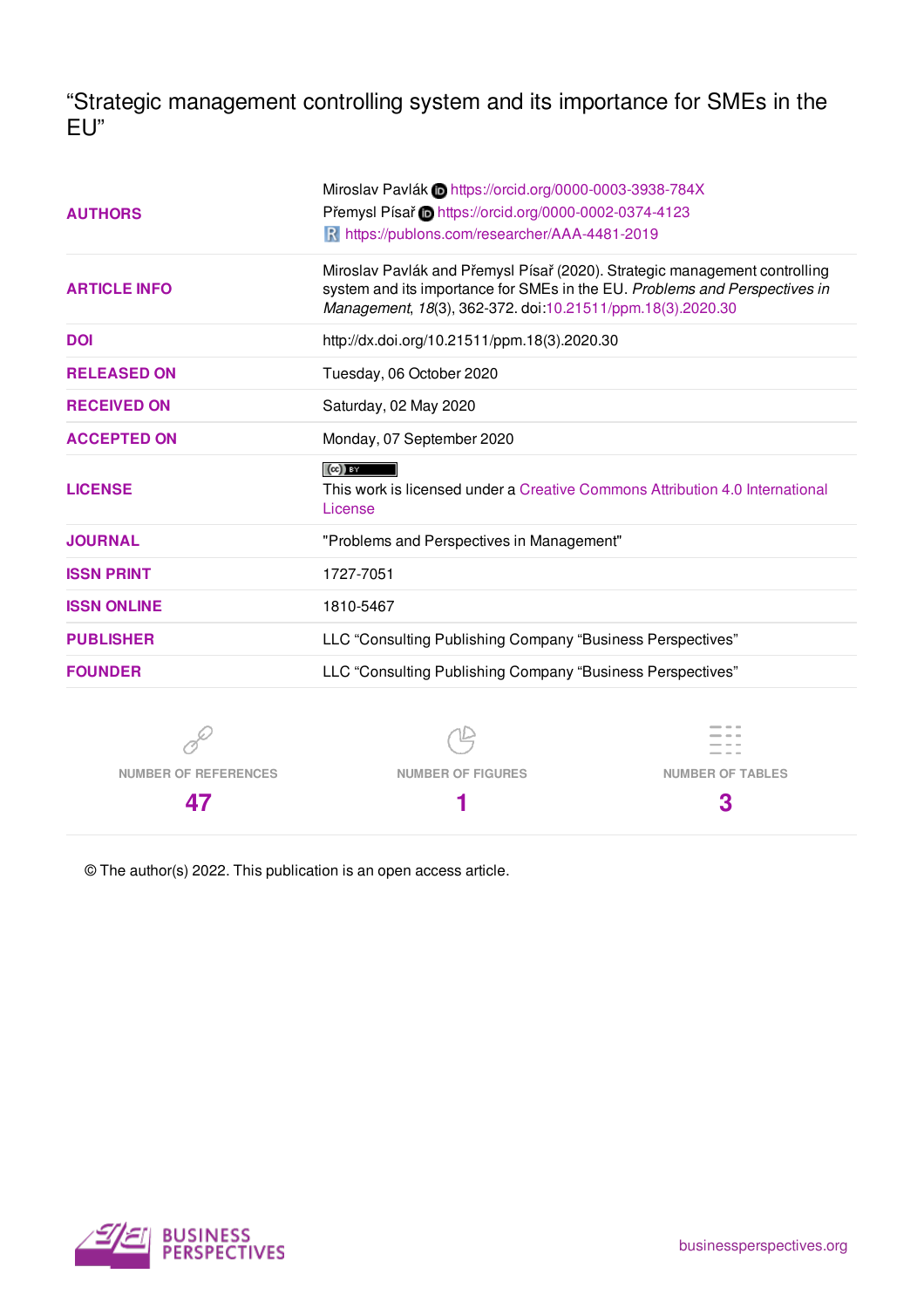"Strategic management controlling system and its importance for SMEs in the EU"

|                                                                                | Miroslav Pavlák in https://orcid.org/0000-0003-3938-784X                                                                                                                                                               |                                                                              |  |  |  |
|--------------------------------------------------------------------------------|------------------------------------------------------------------------------------------------------------------------------------------------------------------------------------------------------------------------|------------------------------------------------------------------------------|--|--|--|
| <b>AUTHORS</b>                                                                 | Přemysl Písař i https://orcid.org/0000-0002-0374-4123                                                                                                                                                                  |                                                                              |  |  |  |
|                                                                                | R https://publons.com/researcher/AAA-4481-2019                                                                                                                                                                         |                                                                              |  |  |  |
| <b>ARTICLE INFO</b>                                                            | Miroslav Pavlák and Přemysl Písař (2020). Strategic management controlling<br>system and its importance for SMEs in the EU. Problems and Perspectives in<br>Management, 18(3), 362-372. doi:10.21511/ppm.18(3).2020.30 |                                                                              |  |  |  |
| <b>DOI</b>                                                                     | http://dx.doi.org/10.21511/ppm.18(3).2020.30                                                                                                                                                                           |                                                                              |  |  |  |
| <b>RELEASED ON</b>                                                             | Tuesday, 06 October 2020                                                                                                                                                                                               |                                                                              |  |  |  |
| <b>RECEIVED ON</b>                                                             | Saturday, 02 May 2020                                                                                                                                                                                                  |                                                                              |  |  |  |
| <b>ACCEPTED ON</b>                                                             | Monday, 07 September 2020                                                                                                                                                                                              |                                                                              |  |  |  |
| <b>LICENSE</b>                                                                 | $(cc)$ BY<br>License                                                                                                                                                                                                   | This work is licensed under a Creative Commons Attribution 4.0 International |  |  |  |
| <b>JOURNAL</b>                                                                 | "Problems and Perspectives in Management"                                                                                                                                                                              |                                                                              |  |  |  |
| <b>ISSN PRINT</b>                                                              | 1727-7051                                                                                                                                                                                                              |                                                                              |  |  |  |
| <b>ISSN ONLINE</b>                                                             | 1810-5467                                                                                                                                                                                                              |                                                                              |  |  |  |
| LLC "Consulting Publishing Company "Business Perspectives"<br><b>PUBLISHER</b> |                                                                                                                                                                                                                        |                                                                              |  |  |  |
| <b>FOUNDER</b>                                                                 | LLC "Consulting Publishing Company "Business Perspectives"                                                                                                                                                             |                                                                              |  |  |  |
|                                                                                |                                                                                                                                                                                                                        |                                                                              |  |  |  |
| <b>NUMBER OF REFERENCES</b>                                                    | <b>NUMBER OF FIGURES</b>                                                                                                                                                                                               | <b>NUMBER OF TABLES</b>                                                      |  |  |  |

**1**

© The author(s) 2022. This publication is an open access article.



**47**

**3**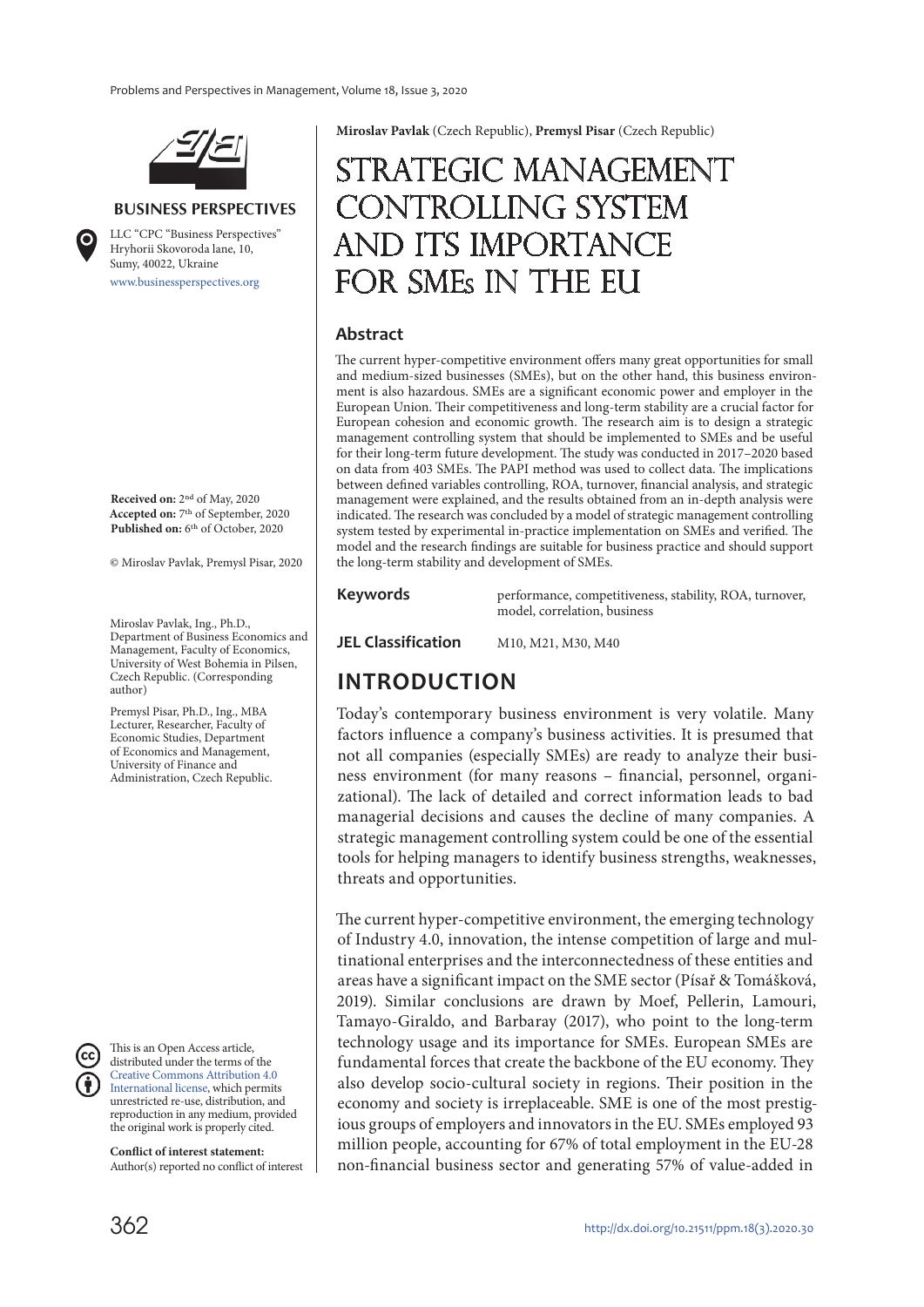

#### **BUSINESS PERSPECTIVES**

www.businessperspectives.org LLC "СPС "Business Perspectives" Hryhorii Skovoroda lane, 10, Sumy, 40022, Ukraine

**Received on:** 2nd of May, 2020 **Accepted on:** 7th of September, 2020 **Published on:** 6th of October, 2020

© Miroslav Pavlak, Premysl Pisar, 2020

Miroslav Pavlak, Ing., Ph.D., Department of Business Economics and Management, Faculty of Economics, University of West Bohemia in Pilsen, Czech Republic. (Corresponding author)

Premysl Pisar, Ph.D., Ing., MBA Lecturer, Researcher, Faculty of Economic Studies, Department of Economics and Management, University of Finance and Administration, Czech Republic.



This is an Open Access article, distributed under the terms of the Creative Commons Attribution 4.0 International license, which permits unrestricted re-use, distribution, and reproduction in any medium, provided the original work is properly cited.

**Conflict of interest statement:**  Author(s) reported no conflict of interest **Miroslav Pavlak** (Czech Republic), **Premysl Pisar** (Czech Republic)

# Strategic management controlling system and its importance FOR SMEs IN THE EU

#### **Abstract**

The current hyper-competitive environment offers many great opportunities for small and medium-sized businesses (SMEs), but on the other hand, this business environment is also hazardous. SMEs are a significant economic power and employer in the European Union. Their competitiveness and long-term stability are a crucial factor for European cohesion and economic growth. The research aim is to design a strategic management controlling system that should be implemented to SMEs and be useful for their long-term future development. The study was conducted in 2017–2020 based on data from 403 SMEs. The PAPI method was used to collect data. The implications between defined variables controlling, ROA, turnover, financial analysis, and strategic management were explained, and the results obtained from an in-depth analysis were indicated. The research was concluded by a model of strategic management controlling system tested by experimental in-practice implementation on SMEs and verified. The model and the research findings are suitable for business practice and should support the long-term stability and development of SMEs.

**Keywords performance**, competitiveness, stability, ROA, turnover, model, correlation, business

**JEL Classification** M10, M21, M30, M40

# **INTRODUCTION**

Today's contemporary business environment is very volatile. Many factors influence a company's business activities. It is presumed that not all companies (especially SMEs) are ready to analyze their business environment (for many reasons – financial, personnel, organizational). The lack of detailed and correct information leads to bad managerial decisions and causes the decline of many companies. A strategic management controlling system could be one of the essential tools for helping managers to identify business strengths, weaknesses, threats and opportunities.

The current hyper-competitive environment, the emerging technology of Industry 4.0, innovation, the intense competition of large and multinational enterprises and the interconnectedness of these entities and areas have a significant impact on the SME sector (Písař & Tomášková, 2019). Similar conclusions are drawn by Moef, Pellerin, Lamouri, Tamayo-Giraldo, and Barbaray (2017), who point to the long-term technology usage and its importance for SMEs. European SMEs are fundamental forces that create the backbone of the EU economy. They also develop socio-cultural society in regions. Their position in the economy and society is irreplaceable. SME is one of the most prestigious groups of employers and innovators in the EU. SMEs employed 93 million people, accounting for 67% of total employment in the EU-28 non-financial business sector and generating 57% of value-added in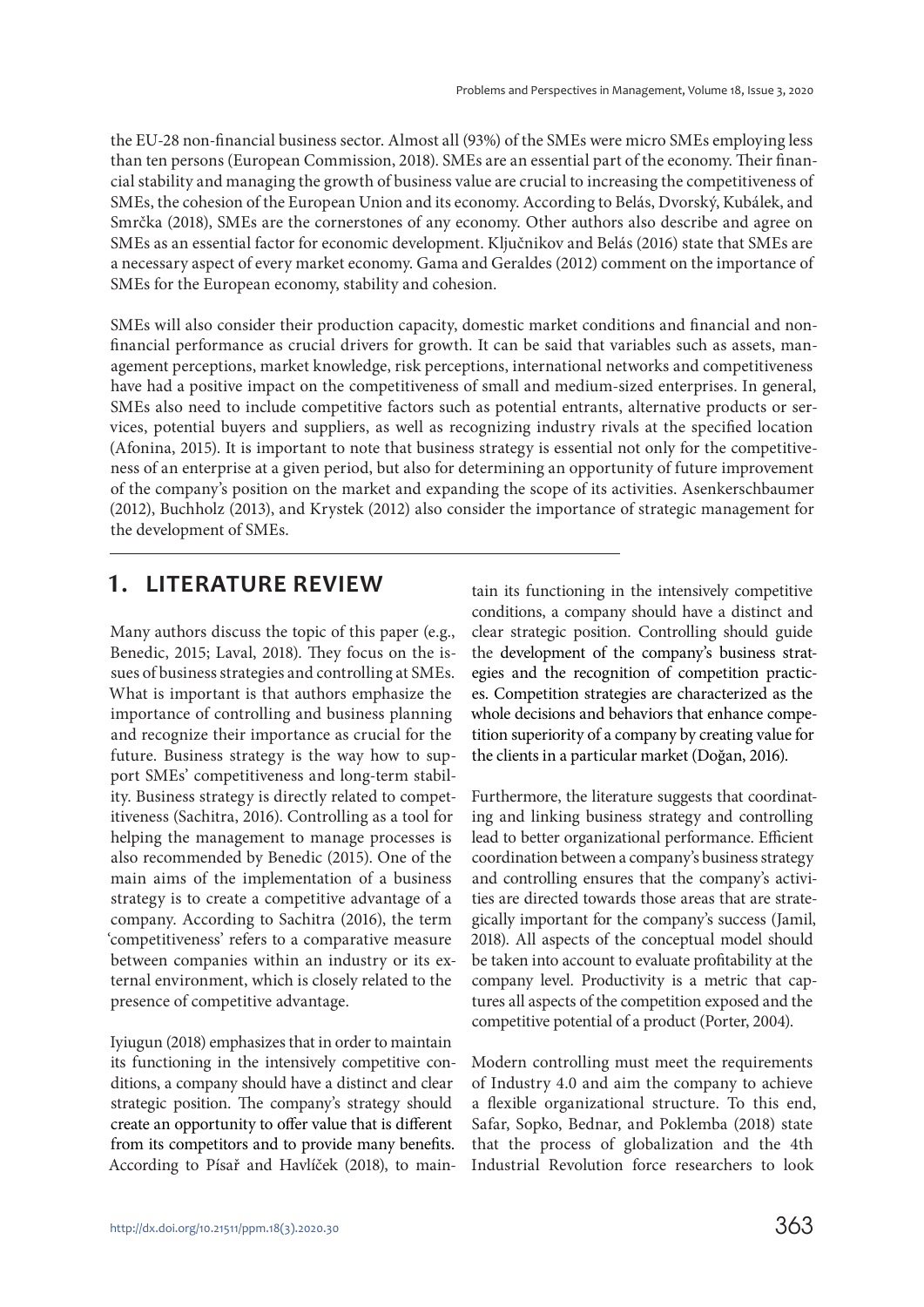the EU-28 non-financial business sector. Almost all (93%) of the SMEs were micro SMEs employing less than ten persons (European Commission, 2018). SMEs are an essential part of the economy. Their financial stability and managing the growth of business value are crucial to increasing the competitiveness of SMEs, the cohesion of the European Union and its economy. According to Belás, Dvorský, Kubálek, and Smrčka (2018), SMEs are the cornerstones of any economy. Other authors also describe and agree on SMEs as an essential factor for economic development. Ključnikov and Belás (2016) state that SMEs are a necessary aspect of every market economy. Gama and Geraldes (2012) comment on the importance of SMEs for the European economy, stability and cohesion.

SMEs will also consider their production capacity, domestic market conditions and financial and nonfinancial performance as crucial drivers for growth. It can be said that variables such as assets, management perceptions, market knowledge, risk perceptions, international networks and competitiveness have had a positive impact on the competitiveness of small and medium-sized enterprises. In general, SMEs also need to include competitive factors such as potential entrants, alternative products or services, potential buyers and suppliers, as well as recognizing industry rivals at the specified location (Afonina, 2015). It is important to note that business strategy is essential not only for the competitiveness of an enterprise at a given period, but also for determining an opportunity of future improvement of the company's position on the market and expanding the scope of its activities. Asenkerschbaumer (2012), Buchholz (2013), and Krystek (2012) also consider the importance of strategic management for the development of SMEs.

# **1. LITERATURE REVIEW**

Many authors discuss the topic of this paper (e.g., Benedic, 2015; Laval, 2018). They focus on the issues of business strategies and controlling at SMEs. What is important is that authors emphasize the importance of controlling and business planning and recognize their importance as crucial for the future. Business strategy is the way how to support SMEs' competitiveness and long-term stability. Business strategy is directly related to competitiveness (Sachitra, 2016). Controlling as a tool for helping the management to manage processes is also recommended by Benedic (2015). One of the main aims of the implementation of a business strategy is to create a competitive advantage of a company. According to Sachitra (2016), the term 'competitiveness' refers to a comparative measure between companies within an industry or its external environment, which is closely related to the presence of competitive advantage.

Iyiugun (2018) emphasizes that in order to maintain its functioning in the intensively competitive conditions, a company should have a distinct and clear strategic position. The company's strategy should create an opportunity to offer value that is different from its competitors and to provide many benefits. According to Písař and Havlíček (2018), to maintain its functioning in the intensively competitive conditions, a company should have a distinct and clear strategic position. Controlling should guide the development of the company's business strategies and the recognition of competition practices. Competition strategies are characterized as the whole decisions and behaviors that enhance competition superiority of a company by creating value for the clients in a particular market (Doğan, 2016).

Furthermore, the literature suggests that coordinating and linking business strategy and controlling lead to better organizational performance. Efficient coordination between a company's business strategy and controlling ensures that the company's activities are directed towards those areas that are strategically important for the company's success (Jamil, 2018). All aspects of the conceptual model should be taken into account to evaluate profitability at the company level. Productivity is a metric that captures all aspects of the competition exposed and the competitive potential of a product (Porter, 2004).

Modern controlling must meet the requirements of Industry 4.0 and aim the company to achieve a flexible organizational structure. To this end, Safar, Sopko, Bednar, and Poklemba (2018) state that the process of globalization and the 4th Industrial Revolution force researchers to look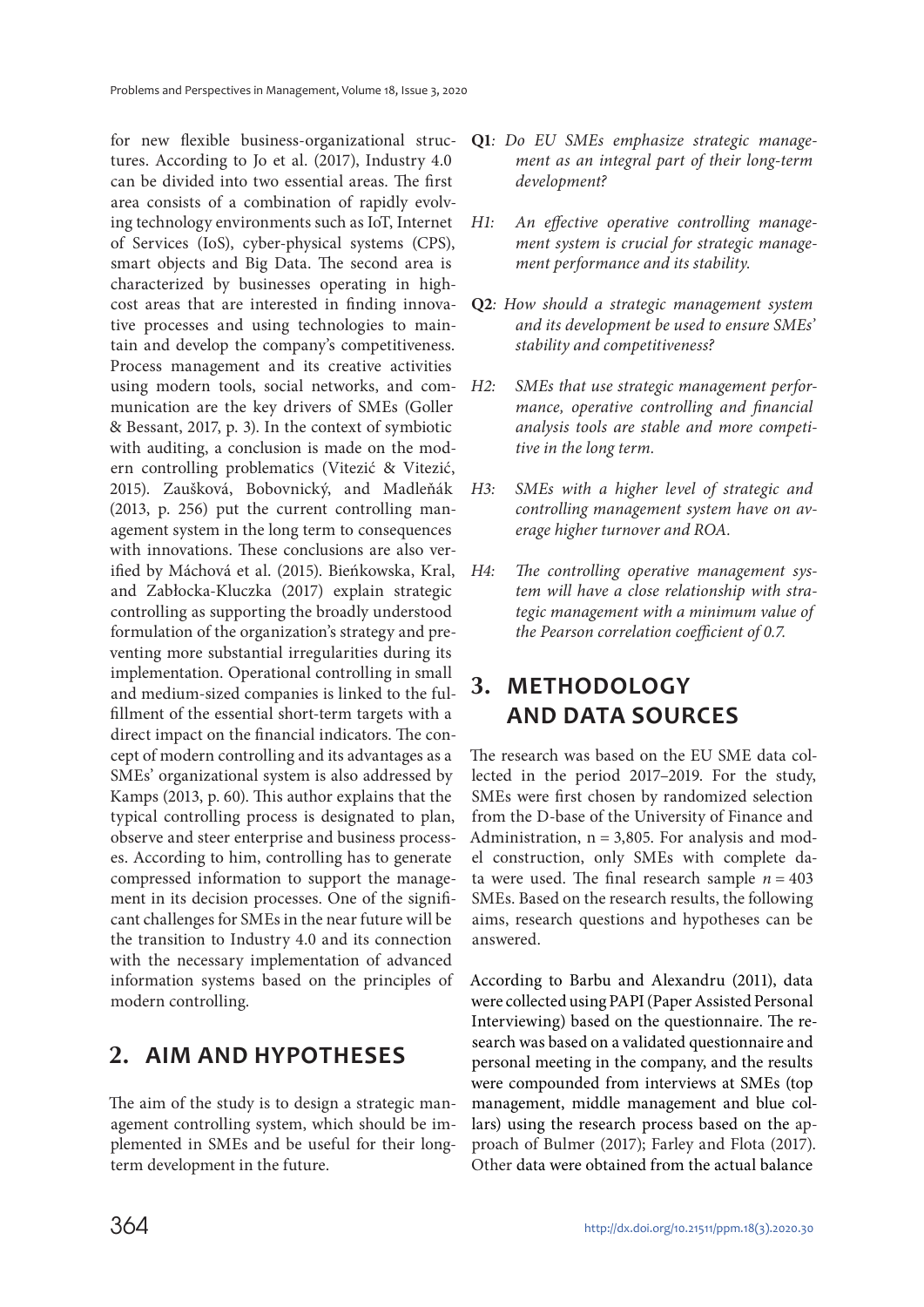for new flexible business-organizational structures. According to Jo et al. (2017), Industry 4.0 can be divided into two essential areas. The first area consists of a combination of rapidly evolving technology environments such as IoT, Internet of Services (IoS), cyber-physical systems (CPS), smart objects and Big Data. The second area is characterized by businesses operating in highcost areas that are interested in finding innovative processes and using technologies to maintain and develop the company's competitiveness. Process management and its creative activities using modern tools, social networks, and communication are the key drivers of SMEs (Goller & Bessant, 2017, p. 3). In the context of symbiotic with auditing, a conclusion is made on the modern controlling problematics (Vitezić & Vitezić, 2015). Zaušková, Bobovnický, and Madleňák (2013, p. 256) put the current controlling management system in the long term to consequences with innovations. These conclusions are also verified by Máchová et al. (2015). Bieńkowska, Kral, and Zabłocka-Kluczka (2017) explain strategic controlling as supporting the broadly understood formulation of the organization's strategy and preventing more substantial irregularities during its implementation. Operational controlling in small and medium-sized companies is linked to the fulfillment of the essential short-term targets with a direct impact on the financial indicators. The concept of modern controlling and its advantages as a SMEs' organizational system is also addressed by Kamps (2013, p. 60). This author explains that the typical controlling process is designated to plan, observe and steer enterprise and business processes. According to him, controlling has to generate compressed information to support the management in its decision processes. One of the significant challenges for SMEs in the near future will be the transition to Industry 4.0 and its connection with the necessary implementation of advanced information systems based on the principles of modern controlling.

### **2. AIM AND HYPOTHESES**

The aim of the study is to design a strategic management controlling system, which should be implemented in SMEs and be useful for their longterm development in the future.

- **Q1**: Do EU SMEs emphasize strategic management as an integral part of their long-term development?
- H1: An effective operative controlling management system is crucial for strategic management performance and its stability.
- **Q2**: How should a strategic management system and its development be used to ensure SMEs' stability and competitiveness?
- H2: SMEs that use strategic management performance, operative controlling and financial analysis tools are stable and more competitive in the long term.
- H3: SMEs with a higher level of strategic and controlling management system have on average higher turnover and ROA.
- H4: The controlling operative management system will have a close relationship with strategic management with a minimum value of the Pearson correlation coefficient of 0.7.

# **3. METHODOLOGY AND DATA SOURCES**

The research was based on the EU SME data collected in the period 2017–2019. For the study, SMEs were first chosen by randomized selection from the D-base of the University of Finance and Administration,  $n = 3,805$ . For analysis and model construction, only SMEs with complete data were used. The final research sample  $n = 403$ SMEs. Based on the research results, the following aims, research questions and hypotheses can be answered.

According to Barbu and Alexandru (2011), data were collected using PAPI (Paper Assisted Personal Interviewing) based on the questionnaire. The research was based on a validated questionnaire and personal meeting in the company, and the results were compounded from interviews at SMEs (top management, middle management and blue collars) using the research process based on the approach of Bulmer (2017); Farley and Flota (2017). Other data were obtained from the actual balance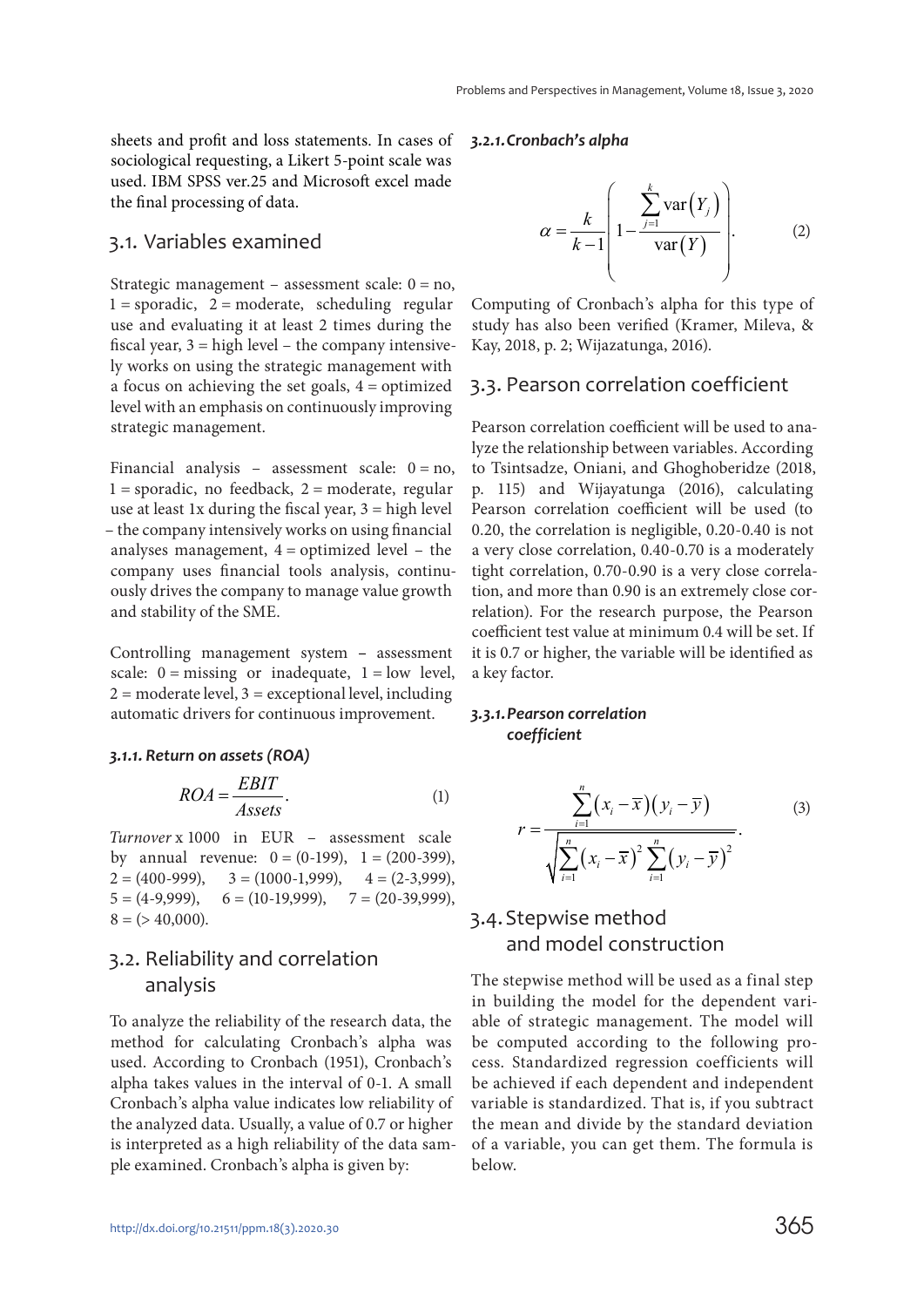sheets and profit and loss statements. In cases of sociological requesting, a Likert 5-point scale was used. IBM SPSS ver.25 and Microsoft excel made the final processing of data.

#### 3.1. Variables examined

Strategic management – assessment scale:  $0 = no$ ,  $1 =$ sporadic,  $2 =$ moderate, scheduling regular use and evaluating it at least 2 times during the fiscal year,  $3 =$  high level – the company intensively works on using the strategic management with a focus on achieving the set goals,  $4 =$  optimized level with an emphasis on continuously improving strategic management.

Financial analysis – assessment scale:  $0 = no$ ,  $1 =$ sporadic, no feedback,  $2 =$ moderate, regular use at least 1x during the fiscal year,  $3 =$  high level – the company intensively works on using financial analyses management,  $4 =$  optimized level  $-$  the company uses financial tools analysis, continuously drives the company to manage value growth and stability of the SME.

Controlling management system **–** assessment scale:  $0 = \text{missing}$  or inadequate,  $1 = \text{low level}$ ,  $2 =$  moderate level,  $3 =$  exceptional level, including automatic drivers for continuous improvement.

#### *3.1.1. Return on assets (ROA)*

$$
ROA = \frac{EBIT}{Assets}.
$$
 (1)

Turnover x 1000 in EUR – assessment scale by annual revenue:  $0 = (0-199)$ ,  $1 = (200-399)$ ,  $2 = (400-999),$   $3 = (1000-1,999),$   $4 = (2-3,999),$  $5 = (4-9,999), \quad 6 = (10-19,999), \quad 7 = (20-39,999),$  $8 = (240,000)$ .

### 3.2. Reliability and correlation analysis

To analyze the reliability of the research data, the method for calculating Cronbach's alpha was used. According to Cronbach (1951), Cronbach's alpha takes values in the interval of 0-1. A small Cronbach's alpha value indicates low reliability of the analyzed data. Usually, a value of 0.7 or higher is interpreted as a high reliability of the data sample examined. Cronbach's alpha is given by:

#### *3.2.1. Cronbach's alpha*

$$
\alpha = \frac{k}{k-1} \left( 1 - \frac{\sum_{j=1}^{k} \text{var}(Y_j)}{\text{var}(Y)} \right). \tag{2}
$$

Computing of Cronbach's alpha for this type of study has also been verified (Kramer, Mileva, & Kay, 2018, p. 2; Wijazatunga, 2016).

#### 3.3. Pearson correlation coefficient

Pearson correlation coefficient will be used to analyze the relationship between variables. According to Tsintsadze, Oniani, and Ghoghoberidze (2018, p. 115) and Wijayatunga (2016), calculating Pearson correlation coefficient will be used (to 0.20, the correlation is negligible, 0.20-0.40 is not a very close correlation, 0.40-0.70 is a moderately tight correlation, 0.70-0.90 is a very close correlation, and more than 0.90 is an extremely close correlation). For the research purpose, the Pearson coefficient test value at minimum 0.4 will be set. If it is 0.7 or higher, the variable will be identified as a key factor.

#### *3.3.1. Pearson correlation coefficient*

$$
r = \frac{\sum_{i=1}^{n} (x_i - \overline{x})(y_i - \overline{y})}{\sqrt{\sum_{i=1}^{n} (x_i - \overline{x})^2 \sum_{i=1}^{n} (y_i - \overline{y})^2}}.
$$
 (3)

### 3.4. Stepwise method and model construction

The stepwise method will be used as a final step in building the model for the dependent variable of strategic management. The model will be computed according to the following process. Standardized regression coefficients will be achieved if each dependent and independent variable is standardized. That is, if you subtract the mean and divide by the standard deviation of a variable, you can get them. The formula is below.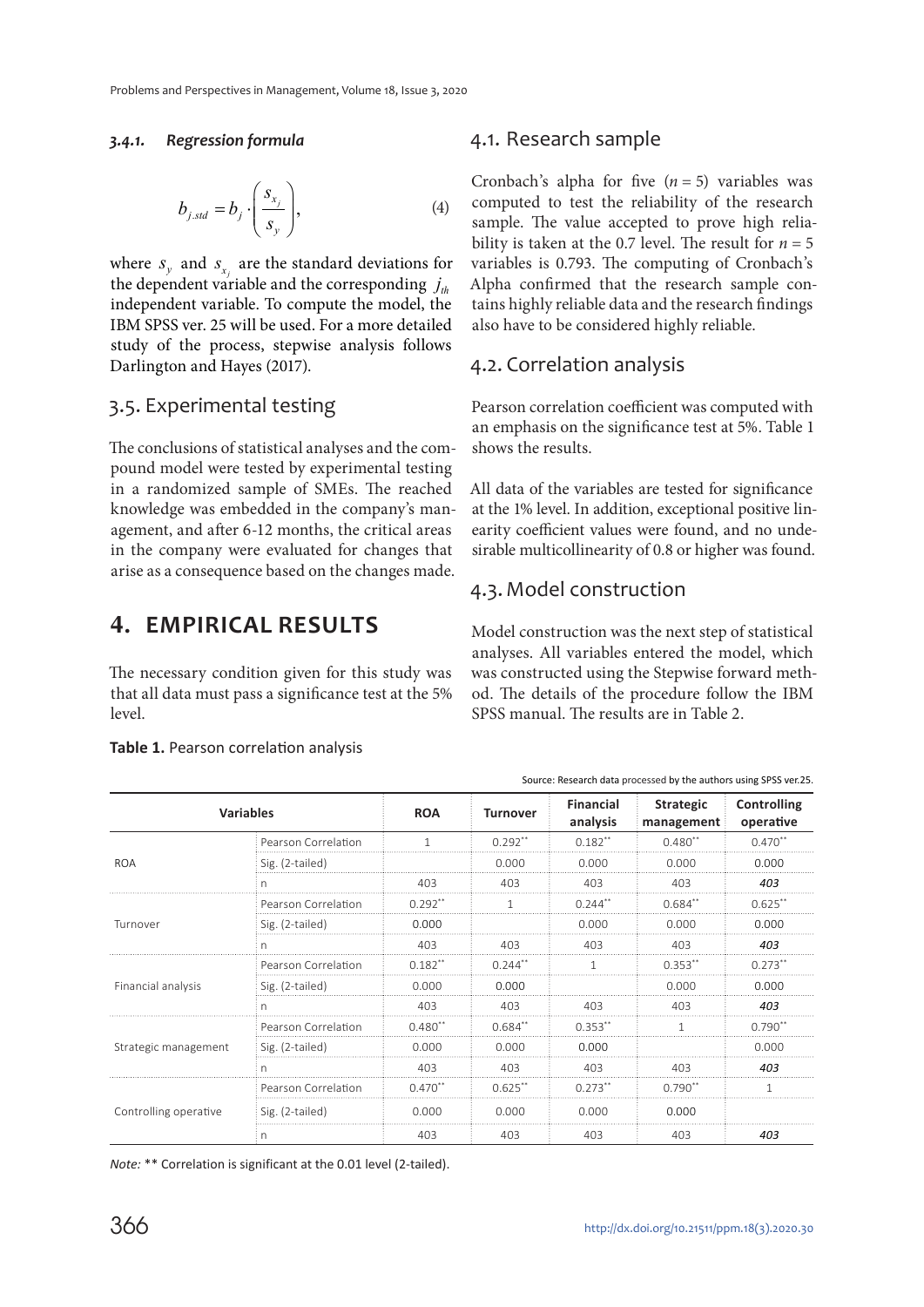#### *3.4.1. Regression formula*

$$
b_{j,std} = b_j \cdot \left(\frac{s_{x_j}}{s_y}\right),\tag{4}
$$

where  $s_y$  and  $s_{x_i}$  are the standard deviations for the dependent variable and the corresponding  $j_{th}$ independent variable. To compute the model, the IBM SPSS ver. 25 will be used. For a more detailed study of the process, stepwise analysis follows Darlington and Hayes (2017).

### 3.5. Experimental testing

The conclusions of statistical analyses and the compound model were tested by experimental testing in a randomized sample of SMEs. The reached knowledge was embedded in the company's management, and after 6-12 months, the critical areas in the company were evaluated for changes that arise as a consequence based on the changes made.

# **4. EMPIRICAL RESULTS**

The necessary condition given for this study was that all data must pass a significance test at the 5% level.

### 4.1. Research sample

Cronbach's alpha for five  $(n = 5)$  variables was computed to test the reliability of the research sample. The value accepted to prove high reliability is taken at the 0.7 level. The result for  $n = 5$ variables is 0.793. The computing of Cronbach's Alpha confirmed that the research sample contains highly reliable data and the research findings also have to be considered highly reliable.

### 4.2. Correlation analysis

Pearson correlation coefficient was computed with an emphasis on the significance test at 5%. Table 1 shows the results.

All data of the variables are tested for significance at the 1% level. In addition, exceptional positive linearity coefficient values were found, and no undesirable multicollinearity of 0.8 or higher was found.

### 4.3. Model construction

Model construction was the next step of statistical analyses. All variables entered the model, which was constructed using the Stepwise forward method. The details of the procedure follow the IBM SPSS manual. The results are in Table 2.

Source: Research data processed by the authors using SPSS ver.25.

| <b>Variables</b>      |                     | <b>ROA</b> | <b>Turnover</b> | <b>Financial</b><br>analysis | <b>Strategic</b><br>management | Controlling<br>operative |
|-----------------------|---------------------|------------|-----------------|------------------------------|--------------------------------|--------------------------|
| <b>ROA</b>            | Pearson Correlation |            | $0.292**$       | $0.182**$                    | $0.480**$                      | $0.470**$                |
|                       | Sig. (2-tailed)     |            | 0.000           | 0.000                        | 0.000                          | 0.000                    |
|                       | n                   | 403        | 403             | 403                          | 403                            | 403                      |
| Turnover              | Pearson Correlation | $0.292**$  | 1               | $0.244***$                   | $0.684$ **                     | $0.625**$                |
|                       | Sig. (2-tailed)     | 0.000      |                 | 0.000                        | 0.000                          | 0.000                    |
|                       | n.                  | 403        | 403             | 403                          | 403                            | 403                      |
| Financial analysis    | Pearson Correlation | $0.182**$  | $0.244**$       |                              | $0.353**$                      | $0.273**$                |
|                       | Sig. (2-tailed)     | 0.000      | 0.000           |                              | 0.000                          | 0.000                    |
|                       | n                   | 403        | 403             | 403                          | 403                            | 403                      |
| Strategic management  | Pearson Correlation | $0.480**$  | $0.684**$       | $0.353**$                    | 1                              | $0.790**$                |
|                       | Sig. (2-tailed)     | 0.000      | 0.000           | 0.000                        |                                | 0.000                    |
|                       | n                   | 403        | 403             | 403                          | 403                            | 403                      |
| Controlling operative | Pearson Correlation | $0.470**$  | $0.625**$       | $0.273**$                    | $0.790**$                      |                          |
|                       | Sig. (2-tailed)     | 0.000      | 0.000           | 0.000                        | 0.000                          |                          |
|                       | n                   | 403        | 403             | 403                          | 403                            | 403                      |

**Table 1.** Pearson correlation analysis

*Note:* \*\* Correlation is significant at the 0.01 level (2-tailed).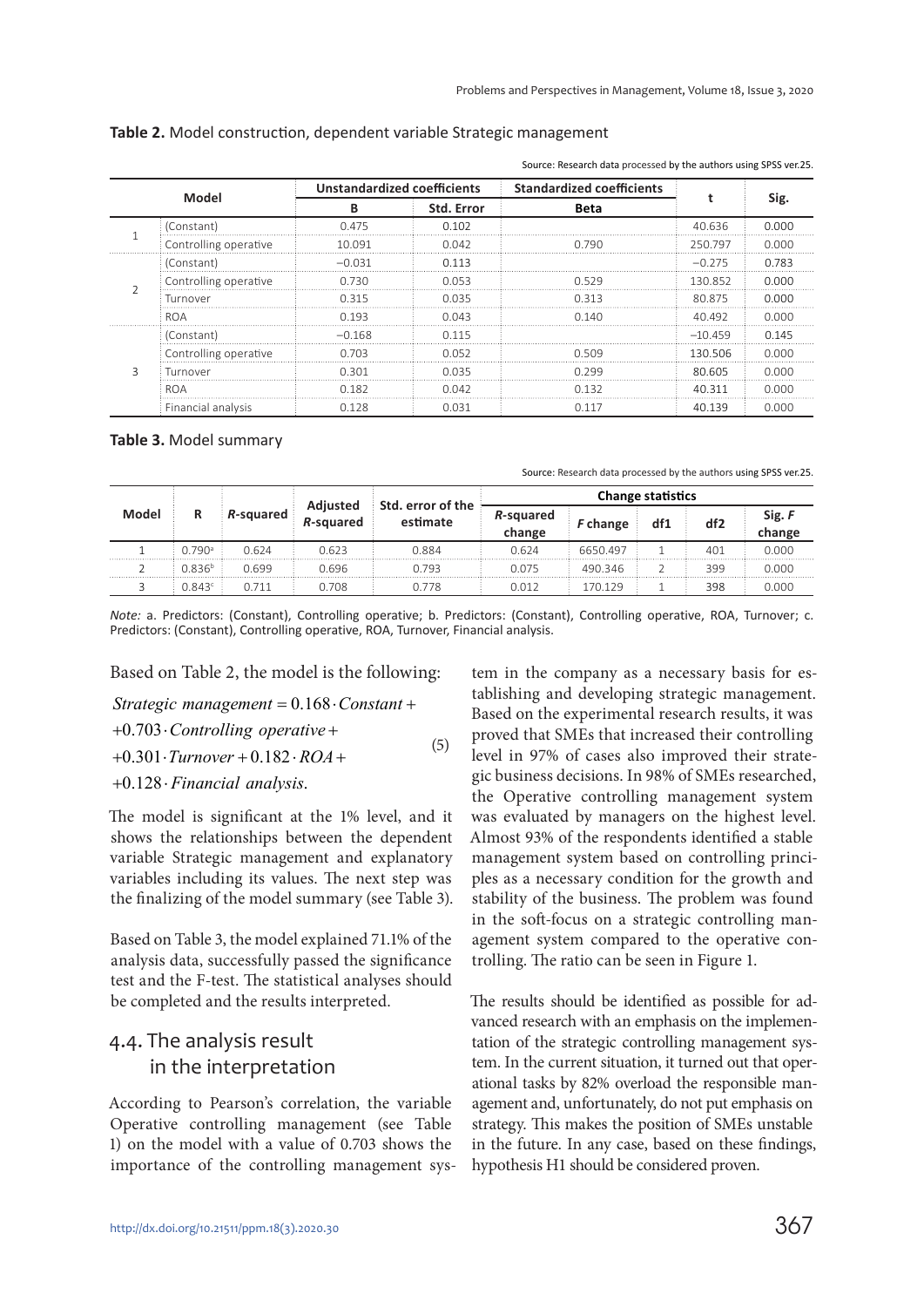| Model |                       | <b>Unstandardized coefficients</b> |       | <b>Standardized coefficients</b> |           | Sıg.  |
|-------|-----------------------|------------------------------------|-------|----------------------------------|-----------|-------|
|       |                       | <b>Std. Error</b><br>B             |       | Beta                             |           |       |
|       | (Constant)            | 0475                               | 0.102 |                                  | 40.636    | 0.000 |
|       | Controlling operative | 10 091                             | 0.042 | በ 79በ                            | 250.797   | n nnn |
|       | (Constant)            | $-0.031$                           | 0.113 |                                  | $-0.275$  | 0.783 |
|       | Controlling operative | N 730                              | 0 053 | 5つ0                              | 130852    | ገ በበበ |
|       | Turnover              | 0 315                              | 0.035 | 0.313                            | 80875     | n nnn |
|       | ROA                   | 0.193                              | 0.043 | በ 14በ                            | 40 492    | 0.000 |
|       | (Constant)            | $-0.168$                           | 0.115 |                                  | $-10.459$ | O 145 |
|       | Controlling operative | በ 7በ3                              | 0.052 | N 509                            | 130.506   | n nnr |
|       | Turnover              | า วกา                              | n nas |                                  | 80 605    | חחה ר |
|       | ROA                   | 0.182                              | 0.042 | U 132                            | 40 311    | 0.000 |
|       | Financial analysis    | በ 128                              | 0.031 | O 117                            | 40.139    | 0.000 |

**Table 2.** Model construction, dependent variable Strategic management

Source: Research data processed by the authors using SPSS ver.25.

**Table 3.** Model summary

Source: Research data processed by the authors using SPSS ver.25.

| Model | R                    |           |                       | <b>Change statistics</b>      |                     |          |     |                 |                  |
|-------|----------------------|-----------|-----------------------|-------------------------------|---------------------|----------|-----|-----------------|------------------|
|       |                      | R-squared | Adjusted<br>R-squared | Std. error of the<br>estimate | R-squared<br>change | F change | df1 | df <sub>2</sub> | Sig. F<br>change |
|       | $0.790$ <sup>a</sup> | 0.624     | 0.623                 | 0.884                         | 0.624               | 6650.497 |     | 401             | 0.000            |
|       | 0.836 <sup>b</sup>   | 0.699     | 0.696                 | 0.793                         | 0.075               | 490.346  |     | 399             | 0.000            |
|       | 0.843c               | 0.711     | 0.708                 | 0.778                         | 0.012               | 170 129  |     | 398             | 0.000            |

*Note:* a. Predictors: (Constant), Controlling operative; b. Predictors: (Constant), Controlling operative, ROA, Turnover; c. Predictors: (Constant), Controlling operative, ROA, Turnover, Financial analysis.

Based on Table 2, the model is the following:

 $Strategyic$  management =  $0.168 \cdot Constant +$ 

+0.703 · Controlling operative +

$$
+0.301 \cdot \text{Turnover} + 0.182 \cdot \text{ROA} + \tag{5}
$$

+0.128 · Financial analysis.

The model is significant at the 1% level, and it shows the relationships between the dependent variable Strategic management and explanatory variables including its values. The next step was the finalizing of the model summary (see Table 3).

Based on Table 3, the model explained 71.1% of the analysis data, successfully passed the significance test and the F-test. The statistical analyses should be completed and the results interpreted.

### 4.4. The analysis result in the interpretation

According to Pearson's correlation, the variable Operative controlling management (see Table 1) on the model with a value of 0.703 shows the importance of the controlling management sys-

tem in the company as a necessary basis for establishing and developing strategic management. Based on the experimental research results, it was proved that SMEs that increased their controlling level in 97% of cases also improved their strategic business decisions. In 98% of SMEs researched, the Operative controlling management system was evaluated by managers on the highest level. Almost 93% of the respondents identified a stable management system based on controlling principles as a necessary condition for the growth and stability of the business. The problem was found in the soft-focus on a strategic controlling management system compared to the operative controlling. The ratio can be seen in Figure 1.

The results should be identified as possible for advanced research with an emphasis on the implementation of the strategic controlling management system. In the current situation, it turned out that operational tasks by 82% overload the responsible management and, unfortunately, do not put emphasis on strategy. This makes the position of SMEs unstable in the future. In any case, based on these findings, hypothesis H1 should be considered proven.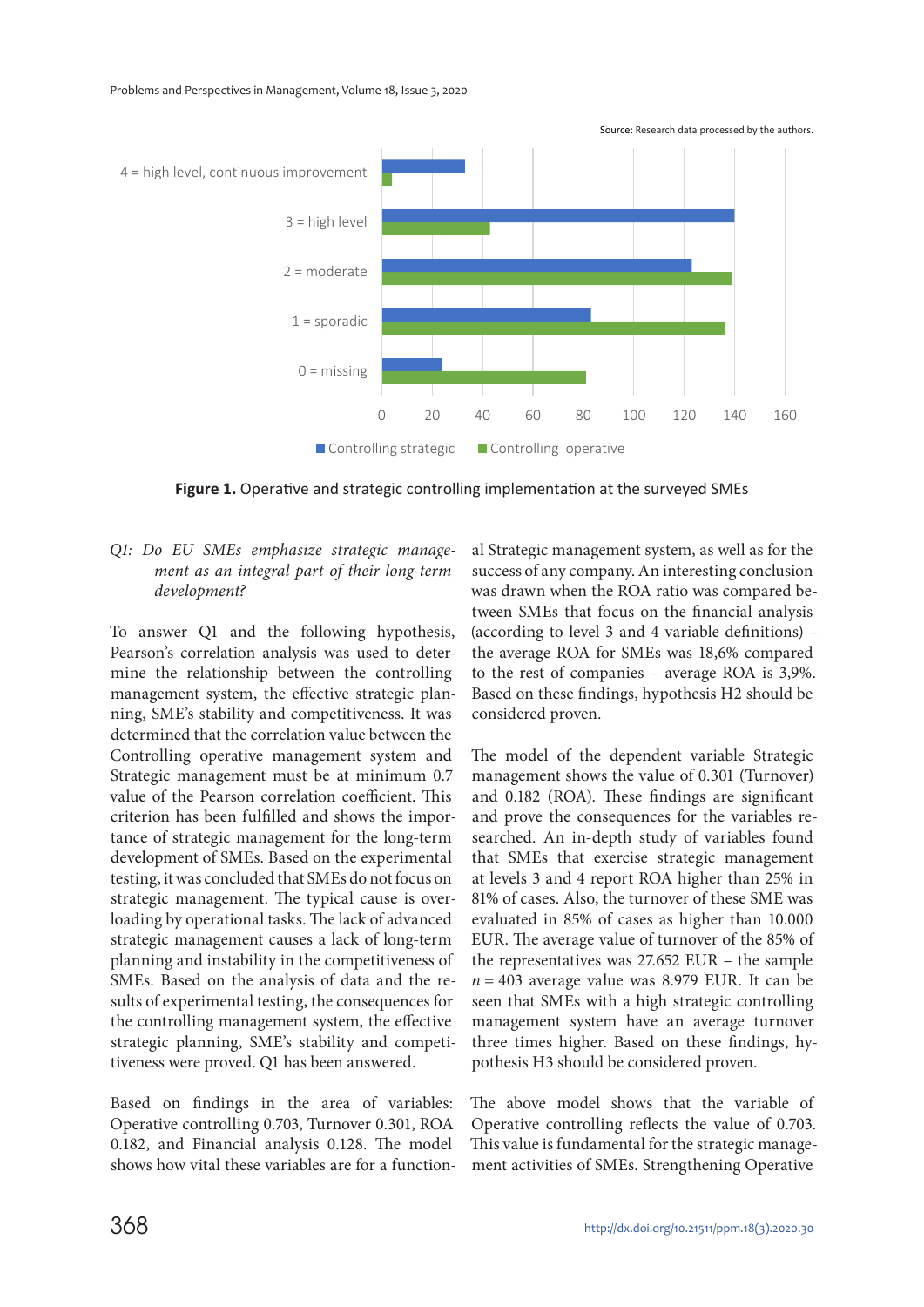

**Figure 1.** Operative and strategic controlling implementation at the surveyed SMEs

#### Q1: Do EU SMEs emphasize strategic management as an integral part of their long-term development?

To answer Q1 and the following hypothesis, Pearson's correlation analysis was used to determine the relationship between the controlling management system, the effective strategic planning, SME's stability and competitiveness. It was determined that the correlation value between the Controlling operative management system and Strategic management must be at minimum 0.7 value of the Pearson correlation coefficient. This criterion has been fulfilled and shows the importance of strategic management for the long-term development of SMEs. Based on the experimental testing, it was concluded that SMEs do not focus on strategic management. The typical cause is overloading by operational tasks. The lack of advanced strategic management causes a lack of long-term planning and instability in the competitiveness of SMEs. Based on the analysis of data and the results of experimental testing, the consequences for the controlling management system, the effective strategic planning, SME's stability and competitiveness were proved. Q1 has been answered.

Based on findings in the area of variables: Operative controlling 0.703, Turnover 0.301, ROA 0.182, and Financial analysis 0.128. The model shows how vital these variables are for a functional Strategic management system, as well as for the success of any company. An interesting conclusion was drawn when the ROA ratio was compared between SMEs that focus on the financial analysis (according to level 3 and 4 variable definitions) – the average ROA for SMEs was 18,6% compared to the rest of companies – average ROA is 3,9%. Based on these findings, hypothesis H2 should be considered proven.

The model of the dependent variable Strategic management shows the value of 0.301 (Turnover) and 0.182 (ROA). These findings are significant and prove the consequences for the variables researched. An in-depth study of variables found that SMEs that exercise strategic management at levels 3 and 4 report ROA higher than 25% in 81% of cases. Also, the turnover of these SME was evaluated in 85% of cases as higher than 10.000 EUR. The average value of turnover of the 85% of the representatives was 27.652 EUR – the sample  $n = 403$  average value was 8.979 EUR. It can be seen that SMEs with a high strategic controlling management system have an average turnover three times higher. Based on these findings, hypothesis H3 should be considered proven.

The above model shows that the variable of Operative controlling reflects the value of 0.703. This value is fundamental for the strategic management activities of SMEs. Strengthening Operative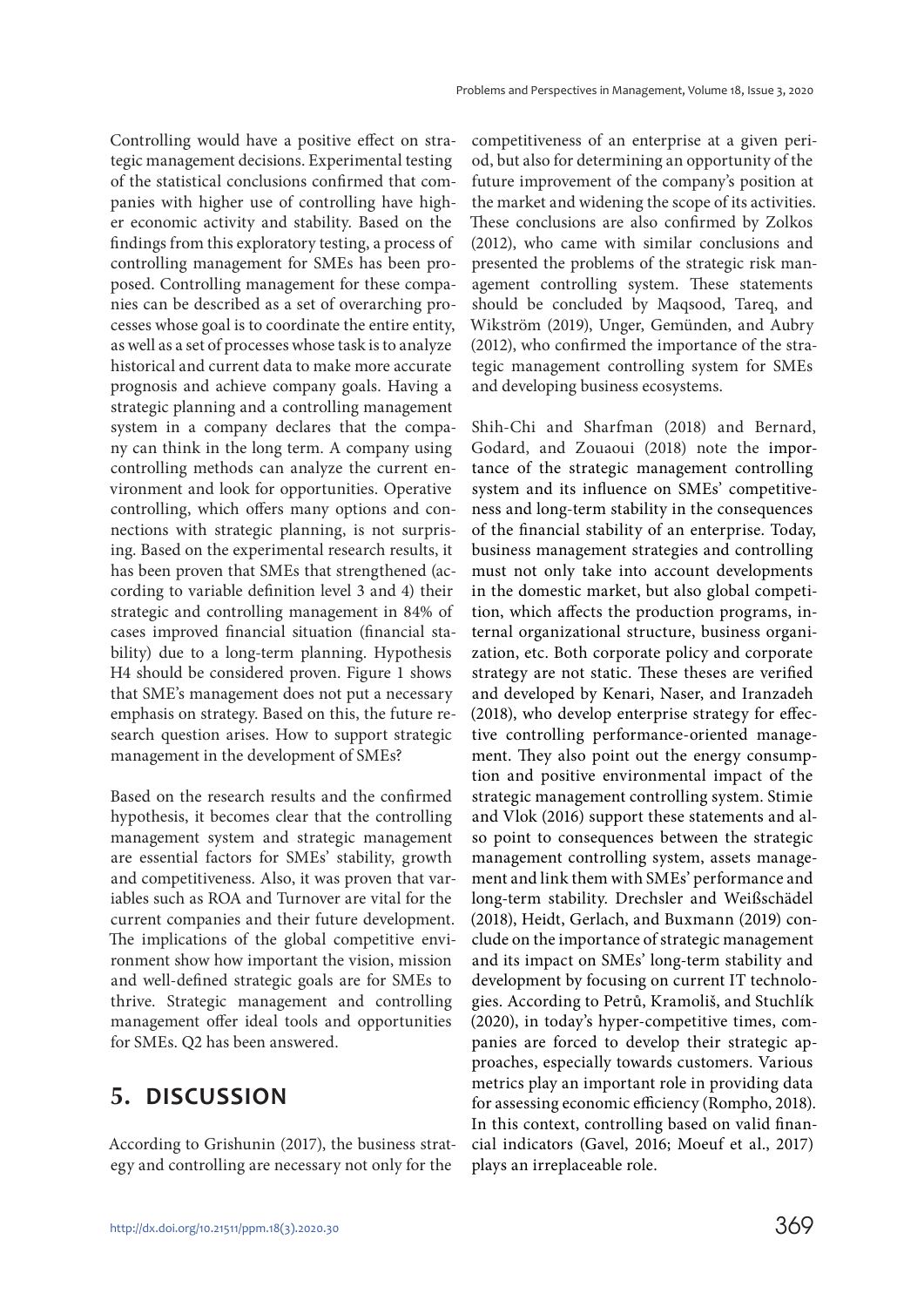Controlling would have a positive effect on strategic management decisions. Experimental testing of the statistical conclusions confirmed that companies with higher use of controlling have higher economic activity and stability. Based on the findings from this exploratory testing, a process of controlling management for SMEs has been proposed. Controlling management for these companies can be described as a set of overarching processes whose goal is to coordinate the entire entity, as well as a set of processes whose task is to analyze historical and current data to make more accurate prognosis and achieve company goals. Having a strategic planning and a controlling management system in a company declares that the company can think in the long term. A company using controlling methods can analyze the current environment and look for opportunities. Operative controlling, which offers many options and connections with strategic planning, is not surprising. Based on the experimental research results, it has been proven that SMEs that strengthened (according to variable definition level 3 and 4) their strategic and controlling management in 84% of cases improved financial situation (financial stability) due to a long-term planning. Hypothesis H4 should be considered proven. Figure 1 shows that SME's management does not put a necessary emphasis on strategy. Based on this, the future research question arises. How to support strategic management in the development of SMEs?

Based on the research results and the confirmed hypothesis, it becomes clear that the controlling management system and strategic management are essential factors for SMEs' stability, growth and competitiveness. Also, it was proven that variables such as ROA and Turnover are vital for the current companies and their future development. The implications of the global competitive environment show how important the vision, mission and well-defined strategic goals are for SMEs to thrive. Strategic management and controlling management offer ideal tools and opportunities for SMEs. Q2 has been answered.

# **5. DISCUSSION**

According to Grishunin (2017), the business strategy and controlling are necessary not only for the

competitiveness of an enterprise at a given period, but also for determining an opportunity of the future improvement of the company's position at the market and widening the scope of its activities. These conclusions are also confirmed by Zolkos (2012), who came with similar conclusions and presented the problems of the strategic risk management controlling system. These statements should be concluded by Maqsood, Tareq, and Wikström (2019), Unger, Gemünden, and Aubry (2012), who confirmed the importance of the strategic management controlling system for SMEs and developing business ecosystems.

Shih-Chi and Sharfman (2018) and Bernard, Godard, and Zouaoui (2018) note the importance of the strategic management controlling system and its influence on SMEs' competitiveness and long-term stability in the consequences of the financial stability of an enterprise. Today, business management strategies and controlling must not only take into account developments in the domestic market, but also global competition, which affects the production programs, internal organizational structure, business organization, etc. Both corporate policy and corporate strategy are not static. These theses are verified and developed by Kenari, Naser, and Iranzadeh (2018), who develop enterprise strategy for effective controlling performance-oriented management. They also point out the energy consumption and positive environmental impact of the strategic management controlling system. Stimie and Vlok (2016) support these statements and also point to consequences between the strategic management controlling system, assets management and link them with SMEs' performance and long-term stability. Drechsler and Weißschädel (2018), Heidt, Gerlach, and Buxmann (2019) conclude on the importance of strategic management and its impact on SMEs' long-term stability and development by focusing on current IT technologies. According to Petrů, Kramoliš, and Stuchlík (2020), in today's hyper-competitive times, companies are forced to develop their strategic approaches, especially towards customers. Various metrics play an important role in providing data for assessing economic efficiency (Rompho, 2018). In this context, controlling based on valid financial indicators (Gavel, 2016; Moeuf et al., 2017) plays an irreplaceable role.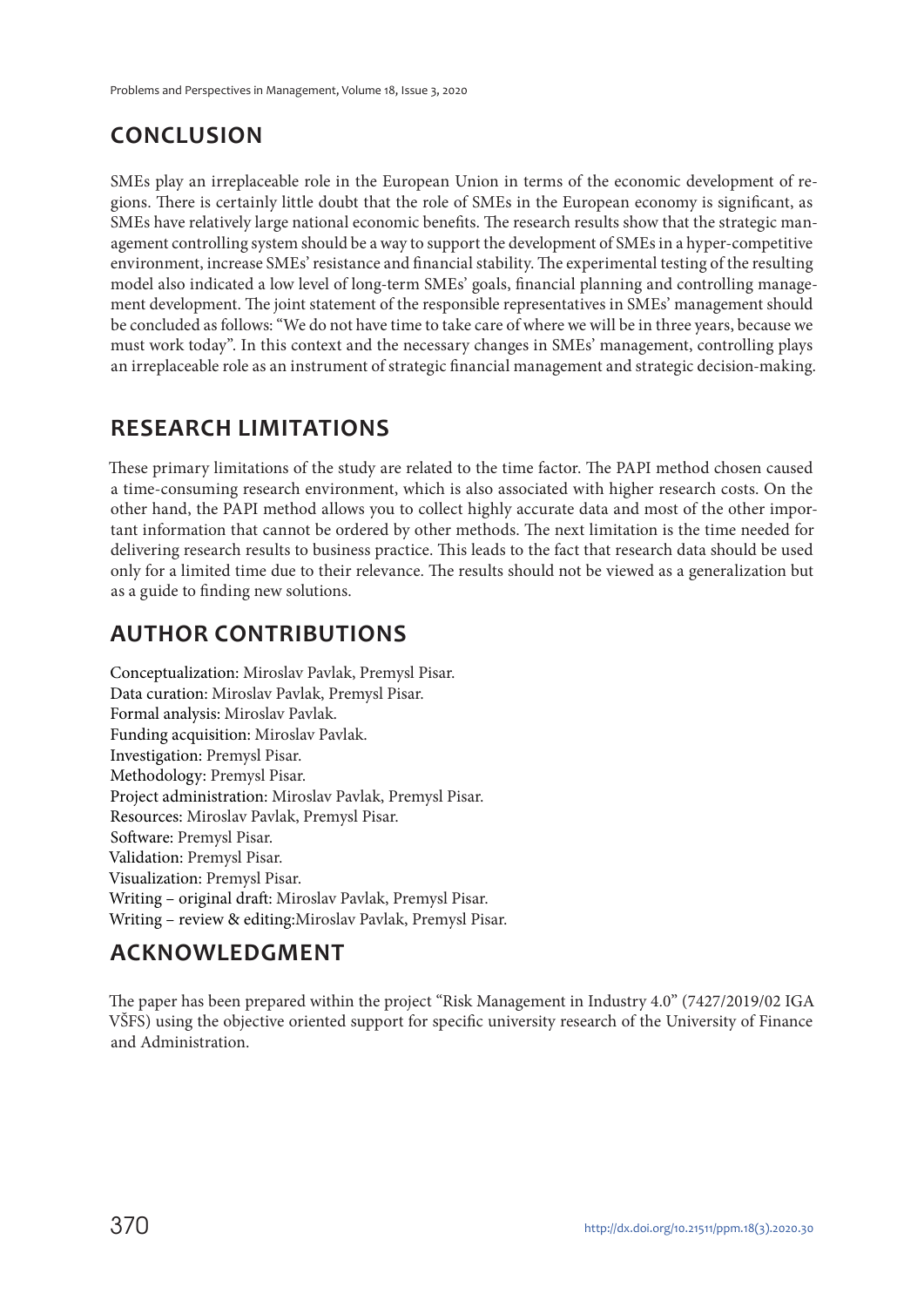# **CONCLUSION**

SMEs play an irreplaceable role in the European Union in terms of the economic development of regions. There is certainly little doubt that the role of SMEs in the European economy is significant, as SMEs have relatively large national economic benefits. The research results show that the strategic management controlling system should be a way to support the development of SMEs in a hyper-competitive environment, increase SMEs' resistance and financial stability. The experimental testing of the resulting model also indicated a low level of long-term SMEs' goals, financial planning and controlling management development. The joint statement of the responsible representatives in SMEs' management should be concluded as follows: "We do not have time to take care of where we will be in three years, because we must work today". In this context and the necessary changes in SMEs' management, controlling plays an irreplaceable role as an instrument of strategic financial management and strategic decision-making.

# **RESEARCH LIMITATIONS**

These primary limitations of the study are related to the time factor. The PAPI method chosen caused a time-consuming research environment, which is also associated with higher research costs. On the other hand, the PAPI method allows you to collect highly accurate data and most of the other important information that cannot be ordered by other methods. The next limitation is the time needed for delivering research results to business practice. This leads to the fact that research data should be used only for a limited time due to their relevance. The results should not be viewed as a generalization but as a guide to finding new solutions.

# **AUTHOR CONTRIBUTIONS**

Conceptualization: Miroslav Pavlak, Premysl Pisar. Data curation: Miroslav Pavlak, Premysl Pisar. Formal analysis: Miroslav Pavlak. Funding acquisition: Miroslav Pavlak. Investigation: Premysl Pisar. Methodology: Premysl Pisar. Project administration: Miroslav Pavlak, Premysl Pisar. Resources: Miroslav Pavlak, Premysl Pisar. Software: Premysl Pisar. Validation: Premysl Pisar. Visualization: Premysl Pisar. Writing – original draft: Miroslav Pavlak, Premysl Pisar. Writing – review & editing:Miroslav Pavlak, Premysl Pisar.

# **ACKNOWLEDGMENT**

The paper has been prepared within the project "Risk Management in Industry 4.0" (7427/2019/02 IGA VŠFS) using the objective oriented support for specific university research of the University of Finance and Administration.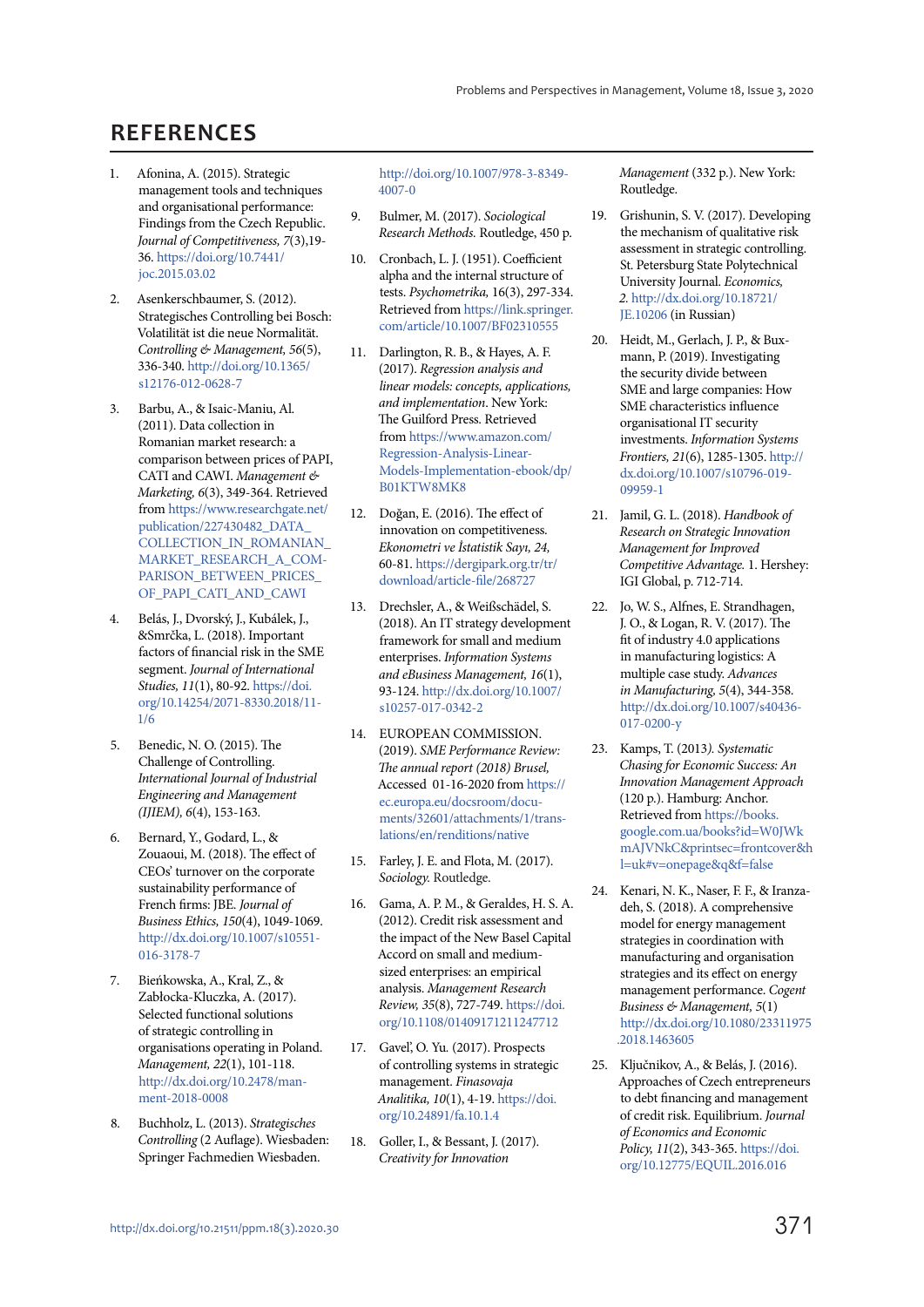# **REFERENCES**

- 1. Afonina, A. (2015). Strategic management tools and techniques and organisational performance: Findings from the Czech Republic. Journal of Competitiveness, 7(3),19- 36. https://doi.org/10.7441/ joc.2015.03.02
- 2. Asenkerschbaumer, S. (2012). Strategisches Controlling bei Bosch: Volatilität ist die neue Normalität. Controlling & Management, 56(5), 336-340. http://doi.org/10.1365/ s12176-012-0628-7
- 3. Barbu, A., & Isaic-Maniu, Al. (2011). Data collection in Romanian market research: a comparison between prices of PAPI, CATI and CAWI. Management & Marketing, 6(3), 349-364. Retrieved from https://www.researchgate.net/ publication/227430482\_DATA\_ COLLECTION\_IN\_ROMANIAN\_ MARKET\_RESEARCH\_A\_COM-PARISON\_BETWEEN\_PRICES\_ OF\_PAPI\_CATI\_AND\_CAWI
- 4. Belás, J., Dvorský, J., Kubálek, J., &Smrčka, L. (2018). Important factors of financial risk in the SME segment. Journal of International Studies, 11(1), 80-92. https://doi. org/10.14254/2071-8330.2018/11- 1/6
- 5. Benedic, N. O. (2015). The Challenge of Controlling. International Journal of Industrial Engineering and Management (IJIEM), 6(4), 153-163.
- 6. Bernard, Y., Godard, L., & Zouaoui, M. (2018). The effect of CEOs' turnover on the corporate sustainability performance of French firms: JBE. Journal of Business Ethics, 150(4), 1049-1069. http://dx.doi.org/10.1007/s10551- 016-3178-7
- 7. Bieńkowska, A., Kral, Z., & Zabłocka-Kluczka, A. (2017). Selected functional solutions of strategic controlling in organisations operating in Poland. Management, 22(1), 101-118. http://dx.doi.org/10.2478/manment-2018-0008
- 8. Buchholz, L. (2013). Strategisches Controlling (2 Auflage). Wiesbaden: Springer Fachmedien Wiesbaden.

http://doi.org/10.1007/978-3-8349- 4007-0

- 9. Bulmer, M. (2017). Sociological Research Methods. Routledge, 450 p.
- 10. Cronbach, L. J. (1951). Coefficient alpha and the internal structure of tests. Psychometrika, 16(3), 297-334. Retrieved from https://link.springer. com/article/10.1007/BF02310555
- 11. Darlington, R. B., & Hayes, A. F. (2017). Regression analysis and linear models: concepts, applications, and implementation. New York: The Guilford Press. Retrieved from https://www.amazon.com/ Regression-Analysis-Linear-Models-Implementation-ebook/dp/ B01KTW8MK8
- 12. Doğan, E. (2016). The effect of innovation on competitiveness. Ekonometri ve İstatistik Sayı, 24, 60-81. https://dergipark.org.tr/tr/ download/article-file/268727
- 13. Drechsler, A., & Weißschädel, S. (2018). An IT strategy development framework for small and medium enterprises. Information Systems and eBusiness Management, 16(1), 93-124. http://dx.doi.org/10.1007/ s10257-017-0342-2
- 14. EUROPEAN COMMISSION. (2019). SME Performance Review: The annual report (2018) Brusel, Accessed 01-16-2020 from https:// ec.europa.eu/docsroom/documents/32601/attachments/1/translations/en/renditions/native
- 15. Farley, J. E. and Flota, M. (2017). Sociology. Routledge.
- 16. Gama, A. P. M., & Geraldes, H. S. A. (2012). Credit risk assessment and the impact of the New Basel Capital Accord on small and mediumsized enterprises: an empirical analysis. Management Research Review, 35(8), 727-749. https://doi. org/10.1108/01409171211247712
- 17. Gavel', O. Yu. (2017). Prospects of controlling systems in strategic management. Finasovaja Analitika, 10(1), 4-19. https://doi. org/10.24891/fa.10.1.4
- 18. Goller, I., & Bessant, J. (2017). Creativity for Innovation

Management (332 p.). New York: Routledge.

- 19. Grishunin, S. V. (2017). Developing the mechanism of qualitative risk assessment in strategic controlling. St. Petersburg State Polytechnical University Journal. Economics, 2. http://dx.doi.org/10.18721/ JE.10206 (in Russian)
- 20. Heidt, M., Gerlach, J. P., & Buxmann, P. (2019). Investigating the security divide between SME and large companies: How SME characteristics influence organisational IT security investments. Information Systems Frontiers, 21(6), 1285-1305. http:// dx.doi.org/10.1007/s10796-019- 09959-1
- 21. Jamil, G. L. (2018). Handbook of Research on Strategic Innovation Management for Improved Competitive Advantage. 1. Hershey: IGI Global, p. 712-714.
- 22. Jo, W. S., Alfnes, E. Strandhagen, J. O., & Logan, R. V. (2017). The fit of industry 4.0 applications in manufacturing logistics: A multiple case study. Advances in Manufacturing, 5(4), 344-358. http://dx.doi.org/10.1007/s40436- 017-0200-y
- 23. Kamps, T. (2013). Systematic Chasing for Economic Success: An Innovation Management Approach (120 p.). Hamburg: Anchor. Retrieved from https://books. google.com.ua/books?id=W0JWk mAJVNkC&printsec=frontcover&h l=uk#v=onepage&q&f=false
- 24. Kenari, N. K., Naser, F. F., & Iranzadeh, S. (2018). A comprehensive model for energy management strategies in coordination with manufacturing and organisation strategies and its effect on energy management performance. Cogent Business & Management, 5(1) http://dx.doi.org/10.1080/23311975 .2018.1463605
- 25. Ključnikov, A., & Belás, J. (2016). Approaches of Czech entrepreneurs to debt financing and management of credit risk. Equilibrium. Journal of Economics and Economic Policy, 11(2), 343-365. https://doi. org/10.12775/EQUIL.2016.016